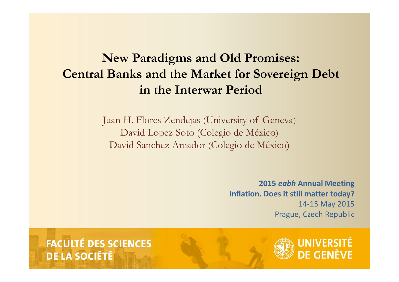# **New Paradigms and Old Promises: Central Banks and the Market for Sovereign Debt in the Interwar Period** Juan H. Flores Zendejas (University of Geneva)<br>Deptition H. Flores Zendejas (University of Geneva)<br>David Lopez Soto (Colegio de México)

David Lopez Soto (Colegio de México) David Sanchez Amador (Colegio de México)

> **2015** *eabh* **Annual Meeting Inflation. Does it still matter today?** 14-15 May 2015 Prague, Czech Republic

**FACULTÉ DES SCIENCES** DE LA SOCIÉTÉ

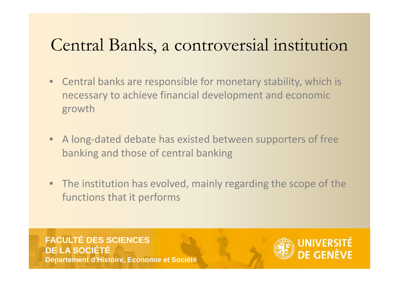### Central Banks, a controversial institution

- Central banks are responsible for monetary stability, which is necessary to achieve financial development and economic growth
- A long-dated debate has existed between supporters of free banking and those of central banking
- The institution has evolved, mainly regarding the scope of the functions that it performs

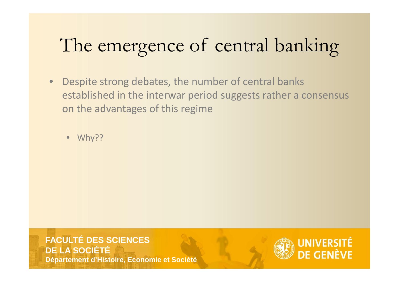# The emergence of central banking<br>Despite strong debates, the number of central banks

• Despite strong debates, the number of central banks established in the interwar period suggests rather a consensus on the advantages of this regime

Why??

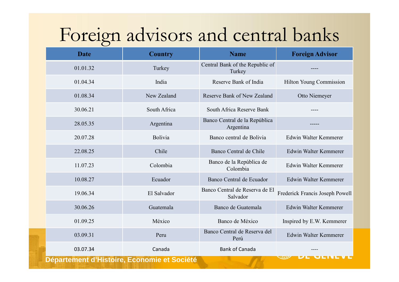# Foreign advisors and central banks

| <b>Date</b>                                        | <b>Country</b> | <b>Name</b>                                | <b>Foreign Advisor</b>          |
|----------------------------------------------------|----------------|--------------------------------------------|---------------------------------|
| 01.01.32                                           | Turkey         | Central Bank of the Republic of<br>Turkey  |                                 |
| 01.04.34                                           | India          | Reserve Bank of India                      | <b>Hilton Young Commission</b>  |
| 01.08.34                                           | New Zealand    | Reserve Bank of New Zealand                | Otto Niemeyer                   |
| 30.06.21                                           | South Africa   | South Africa Reserve Bank                  |                                 |
| 28.05.35                                           | Argentina      | Banco Central de la República<br>Argentina |                                 |
| 20.07.28                                           | Bolivia        | Banco central de Bolivia                   | Edwin Walter Kemmerer           |
| 22.08.25                                           | Chile          | Banco Central de Chile                     | Edwin Walter Kemmerer           |
| 11.07.23                                           | Colombia       | Banco de la República de<br>Colombia       | Edwin Walter Kemmerer           |
| 10.08.27                                           | Ecuador        | Banco Central de Ecuador                   | Edwin Walter Kemmerer           |
| 19.06.34                                           | El Salvador    | Banco Central de Reserva de El<br>Salvador | Frederick Francis Joseph Powell |
| 30.06.26                                           | Guatemala      | Banco de Guatemala                         | Edwin Walter Kemmerer           |
| 01.09.25                                           | México         | Banco de México                            | Inspired by E.W. Kemmerer       |
| 03.09.31                                           | Peru           | Banco Central de Reserva del<br>Perú       | Edwin Walter Kemmerer           |
| 03.07.34                                           | Canada         | <b>Bank of Canada</b>                      |                                 |
| <b>Département d'Histoire, Economie et Société</b> |                |                                            |                                 |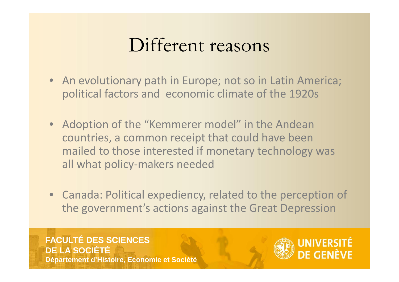## Different reasons

- An evolutionary path in Europe; not so in Latin America; political factors and economic climate of the 1920s
- Adoption of the "Kemmerer model" in the Andean countries, a common receipt that could have been mailed to those interested if monetary technology was all what policy-makers needed
- Canada: Political expediency, related to the perception of the government's actions against the Great Depression

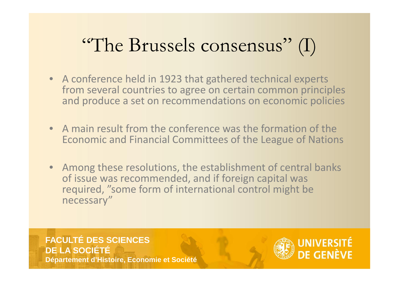# "The Brussels consensus" (I)

- A conference held in 1923 that gathered technical experts from several countries to agree on certain common principles and produce a set on recommendations on economic policies
- A main result from the conference was the formation of the Economic and Financial Committees of the League of Nations
- Among these resolutions, the establishment of central banks of issue was recommended, and if foreign capital was required, "some form of international control might be necessary"

#### **FACULTÉ DES SCIENCES DE LA SOCIÉTÉ**

**Département d'Histoire, Economie et Société**

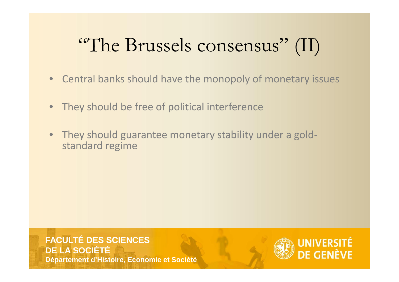# "The Brussels consensus" (II)

- Central banks should have the monopoly of monetary issues
- They should be free of political interference
- They should guarantee monetary stability under a gold- standard regime

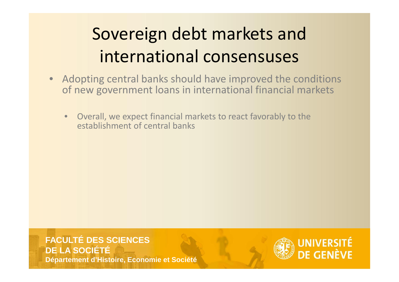# Sovereign debt markets and international consensuses

- Adopting central banks should have improved the conditions of new government loans in international financial markets
	- Overall, we expect financial markets to react favorably to the establishment of central banks

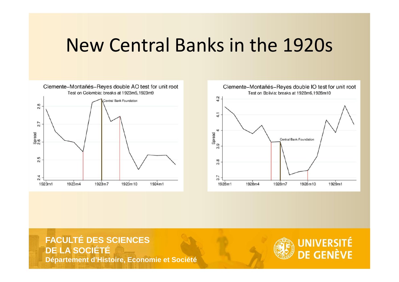## New Central Banks in the 1920s





#### **FACULTÉ DES SCIENCES DE LA SOCIÉTÉ**

**Département d'Histoire, Economie et Société**

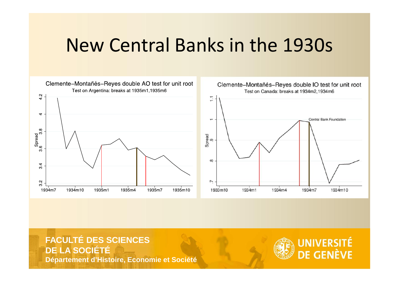## New Central Banks in the 1930s



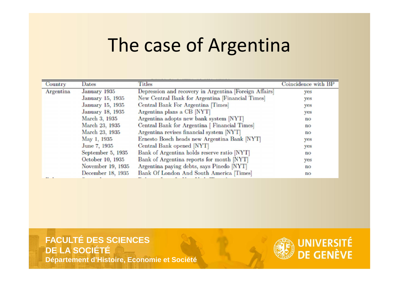## The case of Argentina

| Country   | Dates             | Titles                                                 | Coincidence with BP    |
|-----------|-------------------|--------------------------------------------------------|------------------------|
| Argentina | January 1935      | Depression and recovery in Argentina [Foreign Affairs] | yes                    |
|           | January 15, 1935  | New Central Bank for Argentina [Financial Times]       | yes                    |
|           | January 15, 1935  | Central Bank For Argentina [Times]                     | yes                    |
|           | January 18, 1935  | Argentina plans a CB [NYT]                             | yes                    |
|           | March 3, 1935     | Argentina adopts new bank system [NYT]                 | $\mathbf{n}\mathbf{o}$ |
|           | March 23, 1935    | Central Bank for Argentina [Financial Times]           | $\mathbf{no}$          |
|           | March 23, 1935    | Argentina revises financial system [NYT]               | $\mathbf{no}$          |
|           | May 1, 1935       | Ernesto Bosch heads new Argentina Bank [NYT]           | yes                    |
|           | June 7, 1935      | Central Bank opened [NYT]                              | yes                    |
|           | September 5, 1935 | Bank of Argentina holds reserve ratio [NYT]            | $\mathbf{n}\mathbf{o}$ |
|           | October 10, 1935  | Bank of Argentina reports for month [NYT]              | yes                    |
|           | November 19, 1935 | Argentina paying debts, says Pinedo [NYT]              | $\mathbf{no}$          |
|           | December 18, 1935 | Bank Of London And South America [Times]               | $\mathbf{n}$ o         |
|           |                   |                                                        |                        |

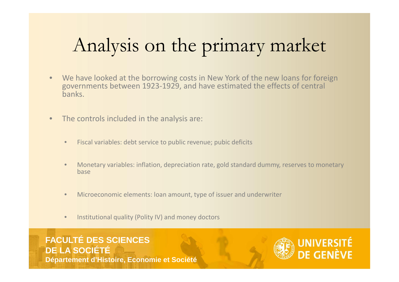# Analysis on the primary market

- We have looked at the borrowing costs in New York of the new loans for foreign governments between 1923-1929, and have estimated the effects of central banks.
- The controls included in the analysis are:
	- Fiscal variables: debt service to public revenue; pubic deficits
	- Monetary variables: inflation, depreciation rate, gold standard dummy, reserves to monetary base
	- Microeconomic elements: loan amount, type of issuer and underwriter
	- Institutional quality (Polity IV) and money doctors

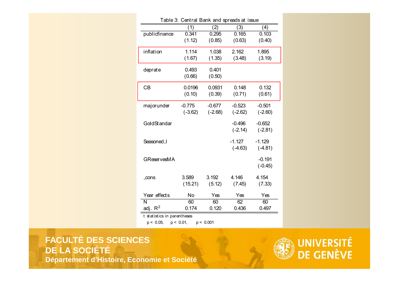| Table 3: Central Bank and spreads at issue |              |           |           |           |
|--------------------------------------------|--------------|-----------|-----------|-----------|
|                                            | 1)           | (2)       | (3)       | (4)       |
| publicfinance                              | 0.341        | 0.295     | 0.165     | 0.103     |
|                                            | (1.12)       | (0.85)    | (0.63)    | (0.40)    |
| inflation                                  | 1.114        | 1.038     | 2.162     | 1.895     |
|                                            | (1.67)       | (1.35)    | (3.48)    | (3.19)    |
| deprate                                    | 0.493        | 0.401     |           |           |
|                                            | (0.66)       | (0.50)    |           |           |
| CB                                         | 0.0196       | 0.0931    | 0.148     | 0.132     |
|                                            | (0.10)       | (0.39)    | (0.71)    | (0.61)    |
| majorunder                                 | $-0.775$     | $-0.677$  | $-0.523$  | $-0.501$  |
|                                            | $(-3.62)$    | $(-2.68)$ | $(-2.62)$ | $(-2.60)$ |
| GoldStandar                                |              |           | $-0.496$  | $-0.652$  |
|                                            |              |           | $(-2.14)$ | $(-2.81)$ |
| Seasoned_I                                 |              |           | $-1.127$  | $-1.129$  |
|                                            |              |           | $(-4.63)$ | $(-4.81)$ |
| <b>GReservesMA</b>                         |              |           |           | $-0.191$  |
|                                            |              |           |           | $(-0.45)$ |
| _cons                                      | 3.589        | 3.192     | 4.146     | 4.154     |
|                                            | (15.21)      | (5.12)    | (7.45)    | (7.33)    |
| Year effects                               | No           | Yes       | Yes       | Yes       |
| N                                          | 60           | 60        | 62        | 60        |
| adj. $R^2$                                 | 0.174        | 0.120     | 0.436     | 0.497     |
| t statistics in parentheses                |              |           |           |           |
| $p < 0.05$ ,                               | $p < 0.01$ , | p < 0.001 |           |           |
|                                            |              |           |           |           |

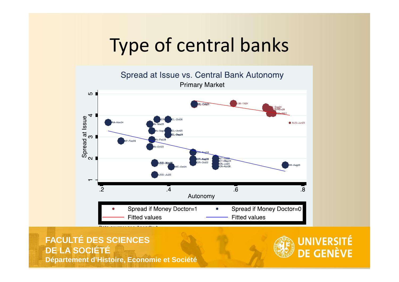## Type of central banks



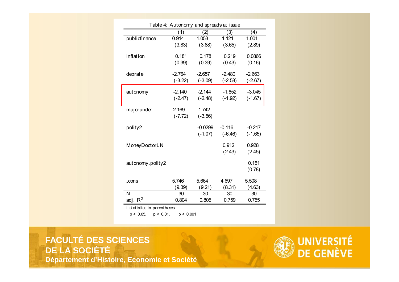| Table 4: Autonomy and spreads at issue |           |           |           |           |  |
|----------------------------------------|-----------|-----------|-----------|-----------|--|
|                                        | (1)       | (2)       | (3)       | (4)       |  |
| publicfinance                          | 0.914     | 1.053     | 1.121     | 1.001     |  |
|                                        | (3.83)    | (3.88)    | (3.65)    | (2.89)    |  |
|                                        |           |           |           |           |  |
| inflation                              | 0.181     | 0.178     | 0.219     | 0.0866    |  |
|                                        | (0.39)    | (0.39)    | (0.43)    | (0.16)    |  |
| deprate                                | $-2.764$  | $-2.657$  | $-2.480$  | $-2.663$  |  |
|                                        |           |           |           |           |  |
|                                        | $(-3.22)$ | $(-3.09)$ | $(-2.58)$ | $(-2.67)$ |  |
| autonomy                               | $-2.140$  | $-2.144$  | $-1.852$  | $-3.045$  |  |
|                                        | $(-2.47)$ | $(-2.48)$ | $(-1.92)$ | $(-1.67)$ |  |
|                                        |           |           |           |           |  |
| majorunder                             | $-2.169$  | $-1.742$  |           |           |  |
|                                        | $(-7.72)$ | $(-3.56)$ |           |           |  |
|                                        |           |           |           |           |  |
| polity2                                |           | $-0.0299$ | $-0.116$  | $-0.217$  |  |
|                                        |           | $(-1.07)$ | $(-6.46)$ | $(-1.65)$ |  |
|                                        |           |           |           |           |  |
| MoneyDoctorLN                          |           |           | 0.912     | 0.928     |  |
|                                        |           |           | (2.43)    | (2.45)    |  |
| autonomy_polity2                       |           |           |           | 0.151     |  |
|                                        |           |           |           |           |  |
|                                        |           |           |           | (0.78)    |  |
| _cons                                  | 5.746     | 5.664     | 4.697     | 5.508     |  |
|                                        | (9.39)    | (9.21)    | (8.31)    | (4.63)    |  |
| N                                      | 30        | 30        | 30        | 30        |  |
| adj. $R^2$                             | 0.804     | 0.805     | 0.759     | 0.755     |  |
|                                        |           |           |           |           |  |
| t statistics in parentheses            |           |           |           |           |  |
| $p < 0.05$ ,<br>$p < 0.01$ ,           | p < 0.001 |           |           |           |  |
|                                        |           |           |           |           |  |
|                                        |           |           |           |           |  |

2002 - 2002 - 2003 - 2004 - 2005 - 2006 - 2007 - 2008 - 2008 - 2008 - 2008 - 2008 - 2008 - 2008 - 2008 - 2008<br>2008 - 2008 - 2008 - 2008 - 2008 - 2008 - 2008 - 2008 - 2008 - 2008 - 2008 - 2008 - 2008 - 2008 - 2008 - 2008

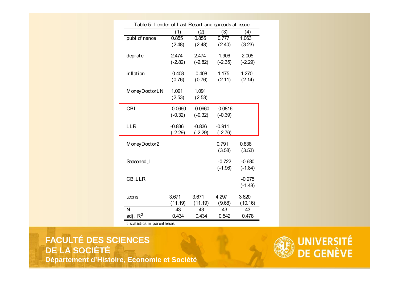| (1)<br>(2)<br>(3)<br>(4)<br>publicfinance<br>0.855<br>0.855<br>1.063<br>0.777<br>(2.48)<br>(2.48)<br>(2.40)<br>(3.23)<br>$-2.474$<br>$-1.906$<br>$-2.005$<br>deprate<br>$-2.474$<br>$(-2.35)$<br>$(-2.82)$<br>$(-2.82)$<br>$(-2.29)$<br>inflation<br>0.408<br>0.408<br>1.175<br>1.270<br>(0.76)<br>(0.76)<br>(2.11)<br>(2.14)<br>1.091<br>1.091<br>MoneyDoctorLN<br>(2.53)<br>(2.53)<br><b>CBI</b><br>$-0.0816$<br>$-0.0660$<br>$-0.0660$<br>$(-0.39)$<br>$(-0.32)$<br>$(-0.32)$<br><b>LLR</b><br>$-0.836$<br>$-0.836$<br>$-0.911$<br>$(-2.29)$<br>$(-2.76)$<br>$(-2.29)$<br>0.791<br>MoneyDoctor2<br>0.838<br>(3.53)<br>(3.58)<br>Seasoned_I<br>$-0.722$<br>$-0.680$<br>$(-1.96)$<br>$(-1.84)$<br><b>CB_LLR</b><br>$-0.275$<br>$(-1.48)$<br>3.620<br>3.671<br>3.671<br>4.297<br>_cons<br>(11.19)<br>(11.19)<br>(9.68)<br>(10.16)<br>N<br>43<br>43<br>43<br>43<br>adj. $R^2$<br>0.434<br>0.434<br>0.542<br>0.478<br>t statistics in parentheses |              |  |  | Table 5: Lender of Last Resort and spreads at issue |  |  |  |
|-------------------------------------------------------------------------------------------------------------------------------------------------------------------------------------------------------------------------------------------------------------------------------------------------------------------------------------------------------------------------------------------------------------------------------------------------------------------------------------------------------------------------------------------------------------------------------------------------------------------------------------------------------------------------------------------------------------------------------------------------------------------------------------------------------------------------------------------------------------------------------------------------------------------------------------------------|--------------|--|--|-----------------------------------------------------|--|--|--|
|                                                                                                                                                                                                                                                                                                                                                                                                                                                                                                                                                                                                                                                                                                                                                                                                                                                                                                                                                 |              |  |  |                                                     |  |  |  |
|                                                                                                                                                                                                                                                                                                                                                                                                                                                                                                                                                                                                                                                                                                                                                                                                                                                                                                                                                 |              |  |  |                                                     |  |  |  |
|                                                                                                                                                                                                                                                                                                                                                                                                                                                                                                                                                                                                                                                                                                                                                                                                                                                                                                                                                 |              |  |  |                                                     |  |  |  |
|                                                                                                                                                                                                                                                                                                                                                                                                                                                                                                                                                                                                                                                                                                                                                                                                                                                                                                                                                 |              |  |  |                                                     |  |  |  |
|                                                                                                                                                                                                                                                                                                                                                                                                                                                                                                                                                                                                                                                                                                                                                                                                                                                                                                                                                 |              |  |  |                                                     |  |  |  |
|                                                                                                                                                                                                                                                                                                                                                                                                                                                                                                                                                                                                                                                                                                                                                                                                                                                                                                                                                 |              |  |  |                                                     |  |  |  |
|                                                                                                                                                                                                                                                                                                                                                                                                                                                                                                                                                                                                                                                                                                                                                                                                                                                                                                                                                 |              |  |  |                                                     |  |  |  |
|                                                                                                                                                                                                                                                                                                                                                                                                                                                                                                                                                                                                                                                                                                                                                                                                                                                                                                                                                 |              |  |  |                                                     |  |  |  |
|                                                                                                                                                                                                                                                                                                                                                                                                                                                                                                                                                                                                                                                                                                                                                                                                                                                                                                                                                 |              |  |  |                                                     |  |  |  |
|                                                                                                                                                                                                                                                                                                                                                                                                                                                                                                                                                                                                                                                                                                                                                                                                                                                                                                                                                 |              |  |  |                                                     |  |  |  |
|                                                                                                                                                                                                                                                                                                                                                                                                                                                                                                                                                                                                                                                                                                                                                                                                                                                                                                                                                 |              |  |  |                                                     |  |  |  |
|                                                                                                                                                                                                                                                                                                                                                                                                                                                                                                                                                                                                                                                                                                                                                                                                                                                                                                                                                 |              |  |  |                                                     |  |  |  |
|                                                                                                                                                                                                                                                                                                                                                                                                                                                                                                                                                                                                                                                                                                                                                                                                                                                                                                                                                 |              |  |  |                                                     |  |  |  |
|                                                                                                                                                                                                                                                                                                                                                                                                                                                                                                                                                                                                                                                                                                                                                                                                                                                                                                                                                 |              |  |  |                                                     |  |  |  |
|                                                                                                                                                                                                                                                                                                                                                                                                                                                                                                                                                                                                                                                                                                                                                                                                                                                                                                                                                 |              |  |  |                                                     |  |  |  |
|                                                                                                                                                                                                                                                                                                                                                                                                                                                                                                                                                                                                                                                                                                                                                                                                                                                                                                                                                 |              |  |  |                                                     |  |  |  |
|                                                                                                                                                                                                                                                                                                                                                                                                                                                                                                                                                                                                                                                                                                                                                                                                                                                                                                                                                 |              |  |  |                                                     |  |  |  |
|                                                                                                                                                                                                                                                                                                                                                                                                                                                                                                                                                                                                                                                                                                                                                                                                                                                                                                                                                 |              |  |  |                                                     |  |  |  |
|                                                                                                                                                                                                                                                                                                                                                                                                                                                                                                                                                                                                                                                                                                                                                                                                                                                                                                                                                 |              |  |  |                                                     |  |  |  |
|                                                                                                                                                                                                                                                                                                                                                                                                                                                                                                                                                                                                                                                                                                                                                                                                                                                                                                                                                 |              |  |  |                                                     |  |  |  |
|                                                                                                                                                                                                                                                                                                                                                                                                                                                                                                                                                                                                                                                                                                                                                                                                                                                                                                                                                 |              |  |  |                                                     |  |  |  |
|                                                                                                                                                                                                                                                                                                                                                                                                                                                                                                                                                                                                                                                                                                                                                                                                                                                                                                                                                 |              |  |  |                                                     |  |  |  |
|                                                                                                                                                                                                                                                                                                                                                                                                                                                                                                                                                                                                                                                                                                                                                                                                                                                                                                                                                 |              |  |  |                                                     |  |  |  |
|                                                                                                                                                                                                                                                                                                                                                                                                                                                                                                                                                                                                                                                                                                                                                                                                                                                                                                                                                 |              |  |  |                                                     |  |  |  |
|                                                                                                                                                                                                                                                                                                                                                                                                                                                                                                                                                                                                                                                                                                                                                                                                                                                                                                                                                 | <b>ENCES</b> |  |  |                                                     |  |  |  |

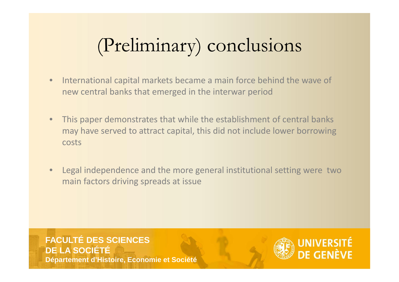# (Preliminary) conclusions

- International capital markets became a main force behind the wave of new central banks that emerged in the interwar period
- This paper demonstrates that while the establishment of central banks may have served to attract capital, this did not include lower borrowing costs
- Legal independence and the more general institutional setting were two main factors driving spreads at issue

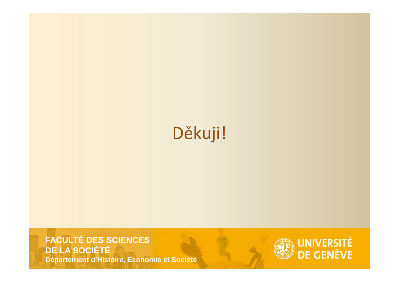## Děkuji!